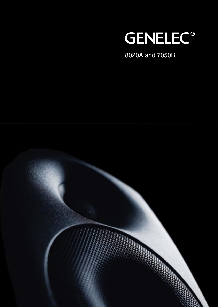

8020A and 7050B

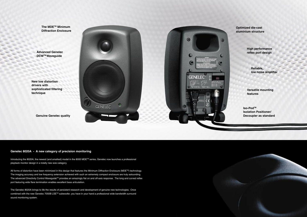**The MDETM Minimum Diffraction Enclosure**

**Advanced Genelec DCWTM Waveguide**

**New low distortion drivers with sophisticated fi ltering technique**

**Genuine Genelec quality**





**Optimized die-cast aluminium structure**

> **High performance** reflex port design

> > **Reliable, low noise amplifier**

**Versatile mounting features**

**Iso-PodTM Isolation Positioner/ Decoupler as standard**

### **Genelec 8020A - A new category of precision monitoring**

Introducing the 8020A, the newest (and smallest) model in the 8000 MDETM series, Genelec now launches a professional playback monitor design in a totally new size category.

All forms of distortion have been minimized in this design that features the Minimum Diffraction Enclosure (MDE™) technology. The imaging accuracy and low frequency extension achieved with such an extremely compact enclosure are truly astounding. The advanced Directivity Control Waveguide™ provides an amazingly flat on and off-axis response. The long and curved reflex port featuring wide flare termination enables excellent bass articulation.

The Genelec 8020A brings to life the results of persistent research and development of genuine new technologies. Once combined with the new Genelec 7050B LSETM subwoofer, you have in your hand a professional wide bandwidth surround sound monitoring system.

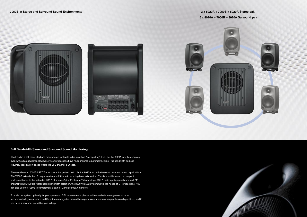## **2 x 8020A + 7050B = 8020A Stereo pak 5 x 8020A + 7050B = 8020A Surround pak**







## **Full Bandwidth Stereo and Surround Sound Monitoring**

The trend in small room playback monitoring is for levels to be less than "ear splitting". Even so, the 8020A is truly surprising even without a subwoofer. However, if your productions have multi-channel requirements, large - full bandwidth audio is required, especially in cases where the LFE channel is utilized.

The new Genelec 7050B LSE™ Subwoofer is the perfect match for the 8020A for both stereo and surround sound applications. The 7050B extends the LF response down to 25 Hz with amazing bass articulation. This is possible in such a compact enclosure thanks to the patended LSE™ (Laminar Spiral Enclosure™) technology. With 5 main input channels and an LFE channel with 85/120 Hz reproduction bandwidth selection, the 8020A/7050B system fulfills the needs of 5.1 productions. You can also use the 7050B to complement a pair of Genelec 8030A monitors.

To scale the system optimally for your space and SPL requirements, please visit our website www.genelec.com for recommended system setups in different size categories. You will also get answers to many frequently asked questions, and if you have a new one, we will be glad to help!

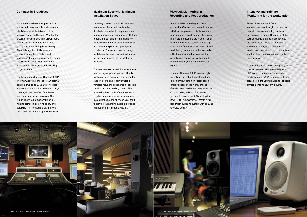### **Compact in Broadcast**

More and more broadcast productions are made in very variable environments, which have strict limitations both in terms of space and budget. Whether the program is transmitted from an OB-truck or from the main studios, the highest quality audio monitoring is necessary. The challenge to quickly generate program content in standard and multichannel formats pressures the entire broadcasting chain. Each step in that chain needs an accurate and revealing program check.

For these needs the new Genelec 8020A Two-way Active Monitor offers an optimal solution. True to its 27 years of heritage in broadcast applications Genelec brings once again the benefits of the latest electro-acoustical technologies. The 8020A is a true professional monitor, with no compromises in reliability and durability. It is the working partner you can trust in all demanding environments.

### **Maximum Ease with Minimum Installation Space**

Listening spaces come in all forms and sizes. When the sound needs to be distributed - whether in corporate board rooms, auditoriums, museums, institutions or restaurants - one thing remains the same: the demand for ease of installation and minimum space occupied by the installation. The perfect solution brings confidence that quality sound will always be reproduced once the installation is completed.

The new Genelec 8020A Two-way Active Monitor is your perfect partner. The diecast aluminium enclosure has integrated support points and readily available versatile mounting options for all possible installations: wall, ceiling or floor. The optional white color is often preferred in installations where sound sources have to match light coloured surfaces: you need to provide outstanding audio experience without disturbing interior design.

### **Playback Monitoring in Recording and Post-production**

In the world of recording and postproduction Genelec has created its fame with its unsurpassed control room main monitors and powerful near-fields. More and more productions are made in small environments which cannot house big speakers. Often pre-production work and track laying is not done in the big studio. Still, the monitoring has to reveal the actual audio content without adding to or removing anything from the original signal.

The new Genelec 8020A is amazingly revealing. The natural, uncoloured and extremely low distortion reproduction characteristics of the highly praised Genelec 8000 series are there in a truly compact size, with an LF extension you would never expect. By adding the new 7050B subwoofer you create a full bandwidth surround system with genuine Genelec quality.

## **Intensive and Intimate Monitoring for the Workstation**

Powerful modern audio/video workstations have brought the need for precision audio monitoring right next to the desktop or laptop. The quality of the soundscape is often as impressive as the latest visual magic on high quality screens. Once again, sound adds a totally new dimension to your production, whether it be a video production or the next hit game.

Discover the audio power and quality of your workstation with the new Genelec 8020A and reach professional audio production quality! With proper tools you can safely bring your creation to full scale environments without any doubts.